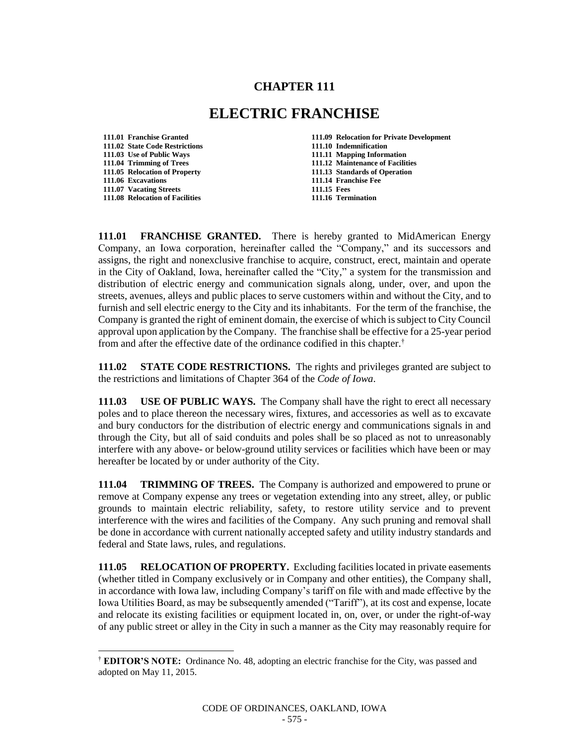## **CHAPTER 111**

## **ELECTRIC FRANCHISE**

**111.02 State Code Restrictions 111.10 Indemnification 111.03 Use of Public Ways 111.11 Mapping Information 111.04 Trimming of Trees 111.12 Maintenance of Facilities 111.06 Excavations 111.14 Franchise Fee 111.07 Vacating Streets 111.15 Fees 111.08 Relocation of Facilities 111.16 Termination**

l

**111.01 Franchise Granted 111.09 Relocation for Private Development 111.05 Relocation of Property 111.13 Standards of Operation**

**111.01 FRANCHISE GRANTED.** There is hereby granted to MidAmerican Energy Company, an Iowa corporation, hereinafter called the "Company," and its successors and assigns, the right and nonexclusive franchise to acquire, construct, erect, maintain and operate in the City of Oakland, Iowa, hereinafter called the "City," a system for the transmission and distribution of electric energy and communication signals along, under, over, and upon the streets, avenues, alleys and public places to serve customers within and without the City, and to furnish and sell electric energy to the City and its inhabitants. For the term of the franchise, the Company is granted the right of eminent domain, the exercise of which is subject to City Council approval upon application by the Company. The franchise shall be effective for a 25-year period from and after the effective date of the ordinance codified in this chapter.†

**111.02 STATE CODE RESTRICTIONS.** The rights and privileges granted are subject to the restrictions and limitations of Chapter 364 of the *Code of Iowa*.

**111.03 USE OF PUBLIC WAYS.** The Company shall have the right to erect all necessary poles and to place thereon the necessary wires, fixtures, and accessories as well as to excavate and bury conductors for the distribution of electric energy and communications signals in and through the City, but all of said conduits and poles shall be so placed as not to unreasonably interfere with any above- or below-ground utility services or facilities which have been or may hereafter be located by or under authority of the City.

**111.04 TRIMMING OF TREES.** The Company is authorized and empowered to prune or remove at Company expense any trees or vegetation extending into any street, alley, or public grounds to maintain electric reliability, safety, to restore utility service and to prevent interference with the wires and facilities of the Company. Any such pruning and removal shall be done in accordance with current nationally accepted safety and utility industry standards and federal and State laws, rules, and regulations.

**111.05 RELOCATION OF PROPERTY.** Excluding facilities located in private easements (whether titled in Company exclusively or in Company and other entities), the Company shall, in accordance with Iowa law, including Company's tariff on file with and made effective by the Iowa Utilities Board, as may be subsequently amended ("Tariff"), at its cost and expense, locate and relocate its existing facilities or equipment located in, on, over, or under the right-of-way of any public street or alley in the City in such a manner as the City may reasonably require for

<sup>†</sup> **EDITOR'S NOTE:** Ordinance No. 48, adopting an electric franchise for the City, was passed and adopted on May 11, 2015.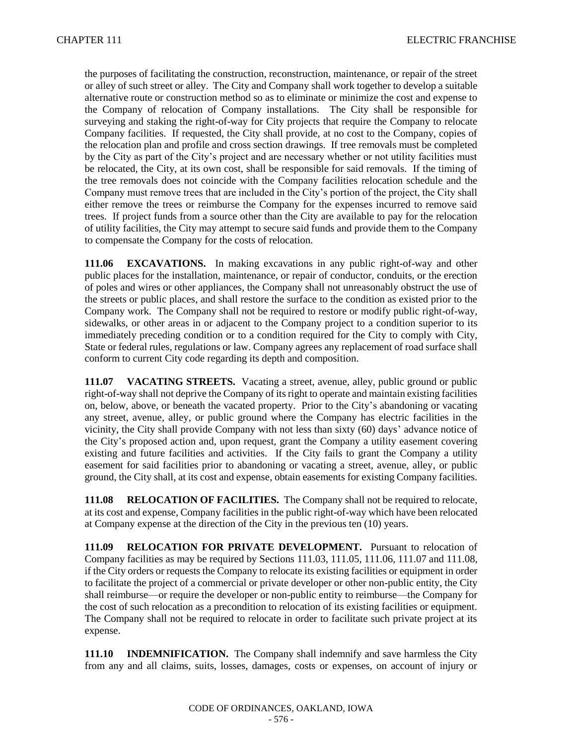the purposes of facilitating the construction, reconstruction, maintenance, or repair of the street or alley of such street or alley. The City and Company shall work together to develop a suitable alternative route or construction method so as to eliminate or minimize the cost and expense to the Company of relocation of Company installations. The City shall be responsible for surveying and staking the right-of-way for City projects that require the Company to relocate Company facilities. If requested, the City shall provide, at no cost to the Company, copies of the relocation plan and profile and cross section drawings. If tree removals must be completed by the City as part of the City's project and are necessary whether or not utility facilities must be relocated, the City, at its own cost, shall be responsible for said removals. If the timing of the tree removals does not coincide with the Company facilities relocation schedule and the Company must remove trees that are included in the City's portion of the project, the City shall either remove the trees or reimburse the Company for the expenses incurred to remove said trees. If project funds from a source other than the City are available to pay for the relocation of utility facilities, the City may attempt to secure said funds and provide them to the Company to compensate the Company for the costs of relocation.

**111.06 EXCAVATIONS.** In making excavations in any public right-of-way and other public places for the installation, maintenance, or repair of conductor, conduits, or the erection of poles and wires or other appliances, the Company shall not unreasonably obstruct the use of the streets or public places, and shall restore the surface to the condition as existed prior to the Company work. The Company shall not be required to restore or modify public right-of-way, sidewalks, or other areas in or adjacent to the Company project to a condition superior to its immediately preceding condition or to a condition required for the City to comply with City, State or federal rules, regulations or law. Company agrees any replacement of road surface shall conform to current City code regarding its depth and composition.

**111.07 VACATING STREETS.** Vacating a street, avenue, alley, public ground or public right-of-way shall not deprive the Company of its right to operate and maintain existing facilities on, below, above, or beneath the vacated property. Prior to the City's abandoning or vacating any street, avenue, alley, or public ground where the Company has electric facilities in the vicinity, the City shall provide Company with not less than sixty (60) days' advance notice of the City's proposed action and, upon request, grant the Company a utility easement covering existing and future facilities and activities. If the City fails to grant the Company a utility easement for said facilities prior to abandoning or vacating a street, avenue, alley, or public ground, the City shall, at its cost and expense, obtain easements for existing Company facilities.

**111.08 RELOCATION OF FACILITIES.** The Company shall not be required to relocate, at its cost and expense, Company facilities in the public right-of-way which have been relocated at Company expense at the direction of the City in the previous ten (10) years.

**111.09 RELOCATION FOR PRIVATE DEVELOPMENT.** Pursuant to relocation of Company facilities as may be required by Sections 111.03, 111.05, 111.06, 111.07 and 111.08, if the City orders or requests the Company to relocate its existing facilities or equipment in order to facilitate the project of a commercial or private developer or other non-public entity, the City shall reimburse—or require the developer or non-public entity to reimburse—the Company for the cost of such relocation as a precondition to relocation of its existing facilities or equipment. The Company shall not be required to relocate in order to facilitate such private project at its expense.

**111.10 INDEMNIFICATION.** The Company shall indemnify and save harmless the City from any and all claims, suits, losses, damages, costs or expenses, on account of injury or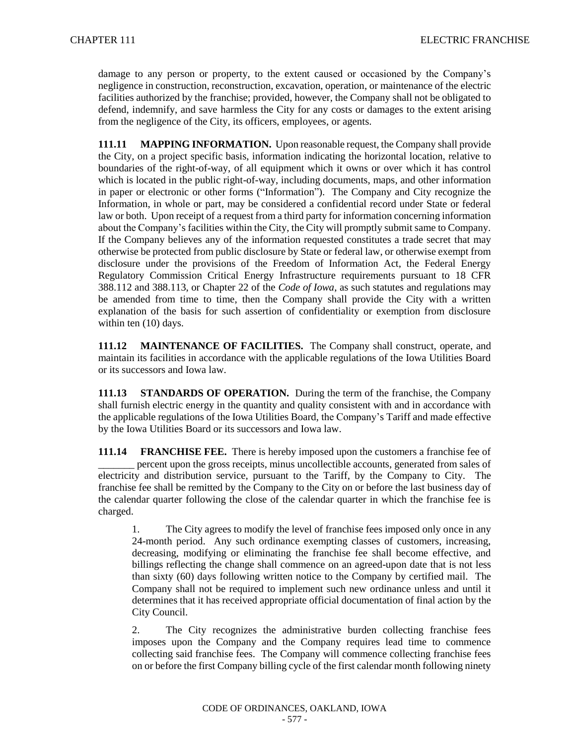damage to any person or property, to the extent caused or occasioned by the Company's negligence in construction, reconstruction, excavation, operation, or maintenance of the electric facilities authorized by the franchise; provided, however, the Company shall not be obligated to defend, indemnify, and save harmless the City for any costs or damages to the extent arising from the negligence of the City, its officers, employees, or agents.

**111.11 MAPPING INFORMATION.** Upon reasonable request, the Company shall provide the City, on a project specific basis, information indicating the horizontal location, relative to boundaries of the right-of-way, of all equipment which it owns or over which it has control which is located in the public right-of-way, including documents, maps, and other information in paper or electronic or other forms ("Information"). The Company and City recognize the Information, in whole or part, may be considered a confidential record under State or federal law or both. Upon receipt of a request from a third party for information concerning information about the Company's facilities within the City, the City will promptly submit same to Company. If the Company believes any of the information requested constitutes a trade secret that may otherwise be protected from public disclosure by State or federal law, or otherwise exempt from disclosure under the provisions of the Freedom of Information Act, the Federal Energy Regulatory Commission Critical Energy Infrastructure requirements pursuant to 18 CFR 388.112 and 388.113, or Chapter 22 of the *Code of Iowa*, as such statutes and regulations may be amended from time to time, then the Company shall provide the City with a written explanation of the basis for such assertion of confidentiality or exemption from disclosure within ten (10) days.

**111.12 MAINTENANCE OF FACILITIES.** The Company shall construct, operate, and maintain its facilities in accordance with the applicable regulations of the Iowa Utilities Board or its successors and Iowa law.

**111.13 STANDARDS OF OPERATION.** During the term of the franchise, the Company shall furnish electric energy in the quantity and quality consistent with and in accordance with the applicable regulations of the Iowa Utilities Board, the Company's Tariff and made effective by the Iowa Utilities Board or its successors and Iowa law.

**111.14 FRANCHISE FEE.** There is hereby imposed upon the customers a franchise fee of \_\_\_\_\_\_\_ percent upon the gross receipts, minus uncollectible accounts, generated from sales of electricity and distribution service, pursuant to the Tariff, by the Company to City. The franchise fee shall be remitted by the Company to the City on or before the last business day of the calendar quarter following the close of the calendar quarter in which the franchise fee is charged.

1. The City agrees to modify the level of franchise fees imposed only once in any 24-month period. Any such ordinance exempting classes of customers, increasing, decreasing, modifying or eliminating the franchise fee shall become effective, and billings reflecting the change shall commence on an agreed-upon date that is not less than sixty (60) days following written notice to the Company by certified mail. The Company shall not be required to implement such new ordinance unless and until it determines that it has received appropriate official documentation of final action by the City Council.

2. The City recognizes the administrative burden collecting franchise fees imposes upon the Company and the Company requires lead time to commence collecting said franchise fees. The Company will commence collecting franchise fees on or before the first Company billing cycle of the first calendar month following ninety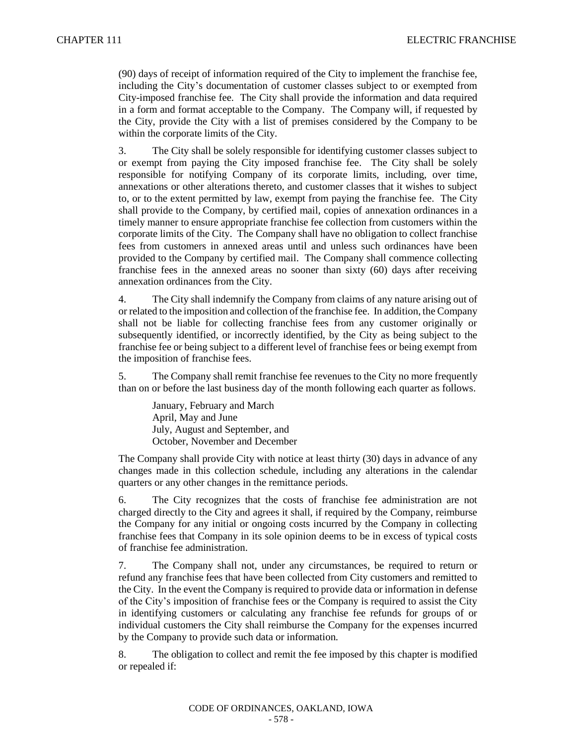(90) days of receipt of information required of the City to implement the franchise fee, including the City's documentation of customer classes subject to or exempted from City-imposed franchise fee. The City shall provide the information and data required in a form and format acceptable to the Company. The Company will, if requested by the City, provide the City with a list of premises considered by the Company to be within the corporate limits of the City.

3. The City shall be solely responsible for identifying customer classes subject to or exempt from paying the City imposed franchise fee. The City shall be solely responsible for notifying Company of its corporate limits, including, over time, annexations or other alterations thereto, and customer classes that it wishes to subject to, or to the extent permitted by law, exempt from paying the franchise fee. The City shall provide to the Company, by certified mail, copies of annexation ordinances in a timely manner to ensure appropriate franchise fee collection from customers within the corporate limits of the City. The Company shall have no obligation to collect franchise fees from customers in annexed areas until and unless such ordinances have been provided to the Company by certified mail. The Company shall commence collecting franchise fees in the annexed areas no sooner than sixty (60) days after receiving annexation ordinances from the City.

4. The City shall indemnify the Company from claims of any nature arising out of or related to the imposition and collection of the franchise fee. In addition, the Company shall not be liable for collecting franchise fees from any customer originally or subsequently identified, or incorrectly identified, by the City as being subject to the franchise fee or being subject to a different level of franchise fees or being exempt from the imposition of franchise fees.

5. The Company shall remit franchise fee revenues to the City no more frequently than on or before the last business day of the month following each quarter as follows.

January, February and March April, May and June July, August and September, and October, November and December

The Company shall provide City with notice at least thirty (30) days in advance of any changes made in this collection schedule, including any alterations in the calendar quarters or any other changes in the remittance periods.

6. The City recognizes that the costs of franchise fee administration are not charged directly to the City and agrees it shall, if required by the Company, reimburse the Company for any initial or ongoing costs incurred by the Company in collecting franchise fees that Company in its sole opinion deems to be in excess of typical costs of franchise fee administration.

7. The Company shall not, under any circumstances, be required to return or refund any franchise fees that have been collected from City customers and remitted to the City. In the event the Company is required to provide data or information in defense of the City's imposition of franchise fees or the Company is required to assist the City in identifying customers or calculating any franchise fee refunds for groups of or individual customers the City shall reimburse the Company for the expenses incurred by the Company to provide such data or information.

8. The obligation to collect and remit the fee imposed by this chapter is modified or repealed if: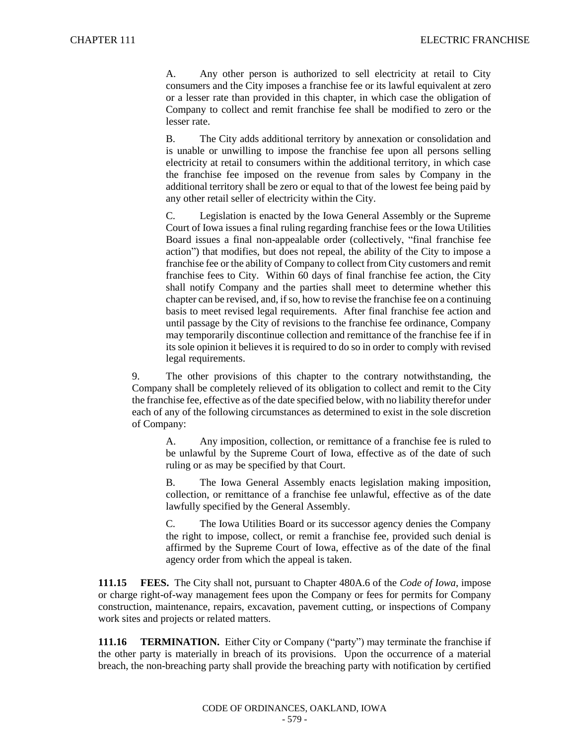A. Any other person is authorized to sell electricity at retail to City consumers and the City imposes a franchise fee or its lawful equivalent at zero or a lesser rate than provided in this chapter, in which case the obligation of Company to collect and remit franchise fee shall be modified to zero or the lesser rate.

B. The City adds additional territory by annexation or consolidation and is unable or unwilling to impose the franchise fee upon all persons selling electricity at retail to consumers within the additional territory, in which case the franchise fee imposed on the revenue from sales by Company in the additional territory shall be zero or equal to that of the lowest fee being paid by any other retail seller of electricity within the City.

C. Legislation is enacted by the Iowa General Assembly or the Supreme Court of Iowa issues a final ruling regarding franchise fees or the Iowa Utilities Board issues a final non-appealable order (collectively, "final franchise fee action") that modifies, but does not repeal, the ability of the City to impose a franchise fee or the ability of Company to collect from City customers and remit franchise fees to City. Within 60 days of final franchise fee action, the City shall notify Company and the parties shall meet to determine whether this chapter can be revised, and, if so, how to revise the franchise fee on a continuing basis to meet revised legal requirements. After final franchise fee action and until passage by the City of revisions to the franchise fee ordinance, Company may temporarily discontinue collection and remittance of the franchise fee if in its sole opinion it believes it is required to do so in order to comply with revised legal requirements.

9. The other provisions of this chapter to the contrary notwithstanding, the Company shall be completely relieved of its obligation to collect and remit to the City the franchise fee, effective as of the date specified below, with no liability therefor under each of any of the following circumstances as determined to exist in the sole discretion of Company:

A. Any imposition, collection, or remittance of a franchise fee is ruled to be unlawful by the Supreme Court of Iowa, effective as of the date of such ruling or as may be specified by that Court.

B. The Iowa General Assembly enacts legislation making imposition, collection, or remittance of a franchise fee unlawful, effective as of the date lawfully specified by the General Assembly.

C. The Iowa Utilities Board or its successor agency denies the Company the right to impose, collect, or remit a franchise fee, provided such denial is affirmed by the Supreme Court of Iowa, effective as of the date of the final agency order from which the appeal is taken.

**111.15 FEES.** The City shall not, pursuant to Chapter 480A.6 of the *Code of Iowa*, impose or charge right-of-way management fees upon the Company or fees for permits for Company construction, maintenance, repairs, excavation, pavement cutting, or inspections of Company work sites and projects or related matters.

**111.16 TERMINATION.** Either City or Company ("party") may terminate the franchise if the other party is materially in breach of its provisions. Upon the occurrence of a material breach, the non-breaching party shall provide the breaching party with notification by certified